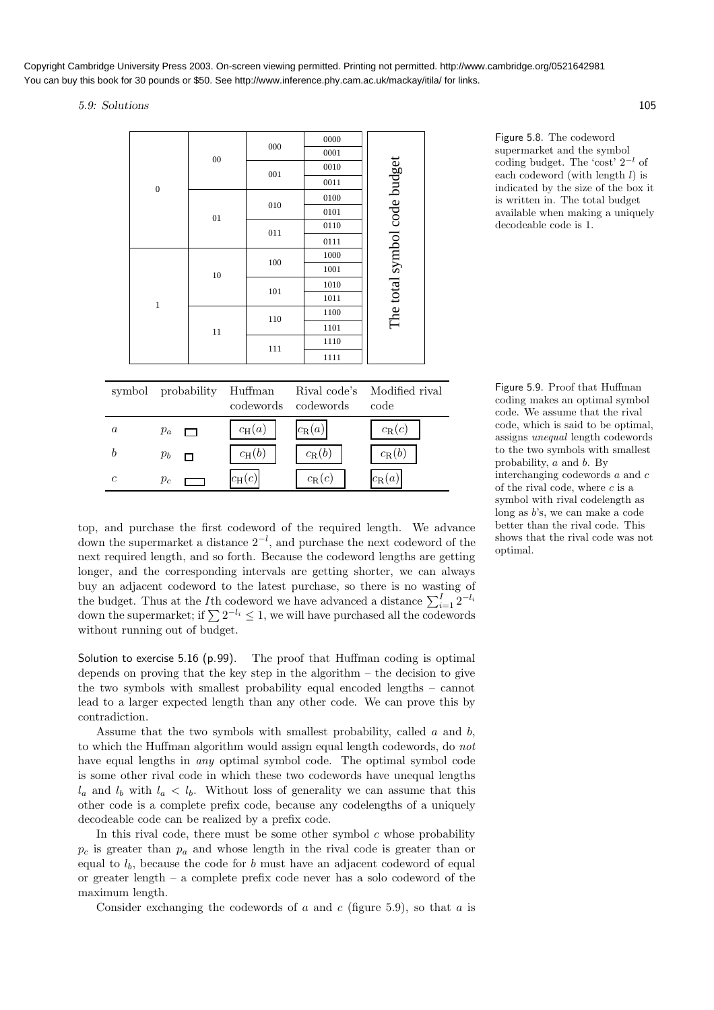5.9: Solutions 105

| $\mathfrak{c}$   | $p_c$              |    | $c_{\rm H}(c)$       | $c_{\rm R}(c)$            | $c_{\mathrm{R}}(a)$          |
|------------------|--------------------|----|----------------------|---------------------------|------------------------------|
| $\boldsymbol{b}$ | $p_b$<br>┑         |    | $c_{\rm H}(b)$       | $c_{\rm R}(b)$            | $c_{\rm R}(b)$               |
| $\boldsymbol{a}$ | $p_a$              |    | $c_{\text{H}}(a)$    | $c_{\mathrm{R}}(a)$       | $c_{\rm R}(c)$               |
|                  | symbol probability |    | Huffman<br>codewords | Rival code's<br>codewords | Modified rival<br>code       |
|                  |                    |    |                      |                           |                              |
|                  |                    |    | 111                  | 1111                      |                              |
|                  |                    | 11 |                      | 1110                      |                              |
|                  |                    |    | 110                  | 1101                      |                              |
|                  | $\mathbf{1}$       |    |                      | 1100                      |                              |
|                  |                    |    | 101                  | 1010<br>1011              |                              |
|                  |                    | 10 |                      | 1001                      | The total symbol code budget |
|                  |                    |    | 100                  | 1000                      |                              |
|                  |                    |    |                      | 0111                      |                              |
|                  |                    |    | 011                  | 0110                      |                              |
|                  |                    | 01 | 010                  | 0101                      |                              |
|                  |                    |    |                      | 0100                      |                              |
|                  | $\mathbf{0}$       |    |                      | 0011                      |                              |
|                  |                    |    | 001                  | 0010                      |                              |
|                  |                    | 00 | 000                  | 0001                      |                              |
|                  |                    |    |                      | 0000                      |                              |

Figure 5.8. The codeword supermarket and the symbol coding budget. The 'cost'  $2^{-l}$  of each codeword (with length  $l$ ) is indicated by the size of the box it is written in. The total budget available when making a uniquely decodeable code is 1.

Figure 5.9. Proof that Huffman coding makes an optimal symbol code. We assume that the rival code, which is said to be optimal, assigns unequal length codewords to the two symbols with smallest probability,  $a$  and  $b$ . By interchanging codewords a and c of the rival code, where  $c$  is a symbol with rival codelength as long as b's, we can make a code better than the rival code. This shows that the rival code was not optimal.

top, and purchase the first codeword of the required length. We advance down the supermarket a distance  $2^{-l}$ , and purchase the next codeword of the next required length, and so forth. Because the codeword lengths are getting longer, and the corresponding intervals are getting shorter, we can always buy an adjacent codeword to the latest purchase, so there is no wasting of the budget. Thus at the *I*th codeword we have advanced a distance  $\sum_{i=1}^{I} 2^{-l_i}$ down the supermarket; if  $\sum 2^{-l_i} \leq 1$ , we will have purchased all the codewords without running out of budget.

Solution to exercise 5.16 (p.99). The proof that Huffman coding is optimal depends on proving that the key step in the algorithm – the decision to give the two symbols with smallest probability equal encoded lengths – cannot lead to a larger expected length than any other code. We can prove this by contradiction.

Assume that the two symbols with smallest probability, called  $a$  and  $b$ , to which the Huffman algorithm would assign equal length codewords, do not have equal lengths in *any* optimal symbol code. The optimal symbol code is some other rival code in which these two codewords have unequal lengths  $l_a$  and  $l_b$  with  $l_a < l_b$ . Without loss of generality we can assume that this other code is a complete prefix code, because any codelengths of a uniquely decodeable code can be realized by a prefix code.

In this rival code, there must be some other symbol  $c$  whose probability  $p_c$  is greater than  $p_a$  and whose length in the rival code is greater than or equal to  $l_b$ , because the code for b must have an adjacent codeword of equal or greater length – a complete prefix code never has a solo codeword of the maximum length.

Consider exchanging the codewords of a and c (figure 5.9), so that a is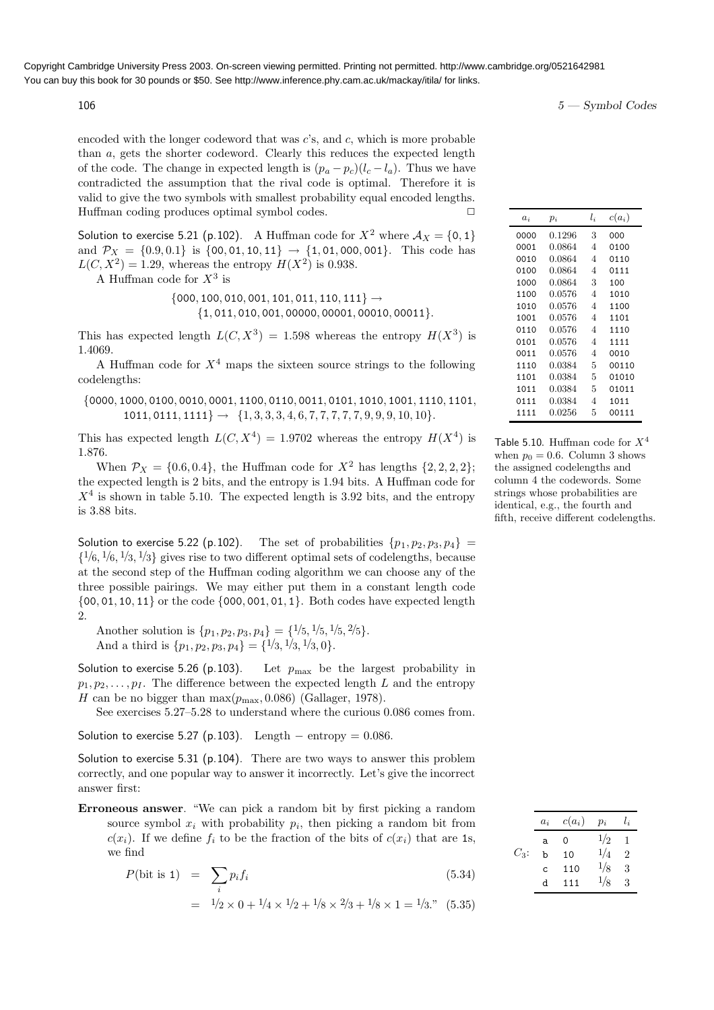encoded with the longer codeword that was  $c$ 's, and  $c$ , which is more probable than a, gets the shorter codeword. Clearly this reduces the expected length of the code. The change in expected length is  $(p_a - p_c)(l_c - l_a)$ . Thus we have contradicted the assumption that the rival code is optimal. Therefore it is valid to give the two symbols with smallest probability equal encoded lengths. Huffman coding produces optimal symbol codes.  $\Box$ 

Solution to exercise 5.21 (p.102). A Huffman code for  $X^2$  where  $\mathcal{A}_X = \{0, 1\}$ and  $\mathcal{P}_X = \{0.9, 0.1\}$  is  $\{00, 01, 10, 11\} \rightarrow \{1, 01, 000, 001\}$ . This code has  $L(C, X^2) = 1.29$ , whereas the entropy  $H(X^2)$  is 0.938.

A Huffman code for  $X^3$  is

 $\{000, 100, 010, 001, 101, 011, 110, 111\} \rightarrow$  ${1, 011, 010, 001, 00000, 00001, 00010, 00011}.$ 

This has expected length  $L(C, X^3) = 1.598$  whereas the entropy  $H(X^3)$  is 1.4069.

A Huffman code for  $X<sup>4</sup>$  maps the sixteen source strings to the following codelengths:

{0000, 1000, 0100, 0010, 0001, 1100, 0110, 0011, 0101, 1010, 1001, 1110, 1101,  $1011, 0111, 1111$   $\rightarrow$   $\{1, 3, 3, 3, 4, 6, 7, 7, 7, 7, 7, 9, 9, 9, 10, 10\}.$ 

This has expected length  $L(C, X<sup>4</sup>) = 1.9702$  whereas the entropy  $H(X<sup>4</sup>)$  is 1.876.

When  $\mathcal{P}_X = \{0.6, 0.4\}$ , the Huffman code for  $X^2$  has lengths  $\{2, 2, 2, 2\}$ ; the expected length is 2 bits, and the entropy is 1.94 bits. A Huffman code for  $X<sup>4</sup>$  is shown in table 5.10. The expected length is 3.92 bits, and the entropy is 3.88 bits.

Solution to exercise 5.22 (p.102). The set of probabilities  $\{p_1, p_2, p_3, p_4\}$  =  $\{1/6, 1/6, 1/3, 1/3\}$  gives rise to two different optimal sets of codelengths, because at the second step of the Huffman coding algorithm we can choose any of the three possible pairings. We may either put them in a constant length code  $\{00, 01, 10, 11\}$  or the code  $\{000, 001, 01, 1\}$ . Both codes have expected length 2.

Another solution is  $\{p_1, p_2, p_3, p_4\} = \{1/5, 1/5, 1/5, 2/5\}.$ And a third is  $\{p_1, p_2, p_3, p_4\} = \{\frac{1}{3}, \frac{1}{3}, \frac{1}{3}, 0\}.$ 

Solution to exercise 5.26 (p.103). Let  $p_{\text{max}}$  be the largest probability in  $p_1, p_2, \ldots, p_I$ . The difference between the expected length L and the entropy H can be no bigger than  $\max(p_{\text{max}}, 0.086)$  (Gallager, 1978).

See exercises 5.27–5.28 to understand where the curious 0.086 comes from.

Solution to exercise 5.27 (p.103). Length – entropy =  $0.086$ .

Solution to exercise 5.31 (p.104). There are two ways to answer this problem correctly, and one popular way to answer it incorrectly. Let's give the incorrect answer first:

Erroneous answer. "We can pick a random bit by first picking a random source symbol  $x_i$  with probability  $p_i$ , then picking a random bit from  $c(x_i)$ . If we define  $f_i$  to be the fraction of the bits of  $c(x_i)$  that are 1s, we find  $C_3$ :

$$
P(\text{bit is 1}) = \sum_{i} p_i f_i \tag{5.34}
$$

$$
= 1/2 \times 0 + 1/4 \times 1/2 + 1/8 \times 2/3 + 1/8 \times 1 = 1/3.
$$
 (5.35)

 $106$   $5 - \text{Symbol Codes}$ 

| $a_i$ | $p_i$  | $l_{i}$        | $c(a_i)$ |
|-------|--------|----------------|----------|
| 0000  | 0.1296 | 3              | 000      |
| 0001  | 0.0864 | 4              | 0100     |
| 0010  | 0.0864 | 4              | 0110     |
| 0100  | 0.0864 | 4              | 0111     |
| 1000  | 0.0864 | 3              | 100      |
| 1100  | 0.0576 | $\overline{4}$ | 1010     |
| 1010  | 0.0576 | $\overline{4}$ | 1100     |
| 1001  | 0.0576 | 4              | 1101     |
| 0110  | 0.0576 | 4              | 1110     |
| 0101  | 0.0576 | 4              | 1111     |
| 0011  | 0.0576 | 4              | 0010     |
| 1110  | 0.0384 | 5              | 00110    |
| 1101  | 0.0384 | 5              | 01010    |
| 1011  | 0.0384 | 5              | 01011    |
| 0111  | 0.0384 | 4              | 1011     |
| 1111  | 0.0256 | 5              | 00111    |
|       |        |                |          |

Table 5.10. Huffman code for  $X^4$ when  $p_0 = 0.6$ . Column 3 shows the assigned codelengths and column 4 the codewords. Some strings whose probabilities are identical, e.g., the fourth and fifth, receive different codelengths.

|         | $a_i$ | $c(a_i)$ | $p_i$ | $l_i$ |
|---------|-------|----------|-------|-------|
|         | a     | 0        | 1/2   | 1     |
| $C_3$ : | h     | 10       | 1/4   | 2     |
|         | C     | 110      | 1/8   | 3     |
|         | d     | 111      | 1/8   | 3     |
|         |       |          |       |       |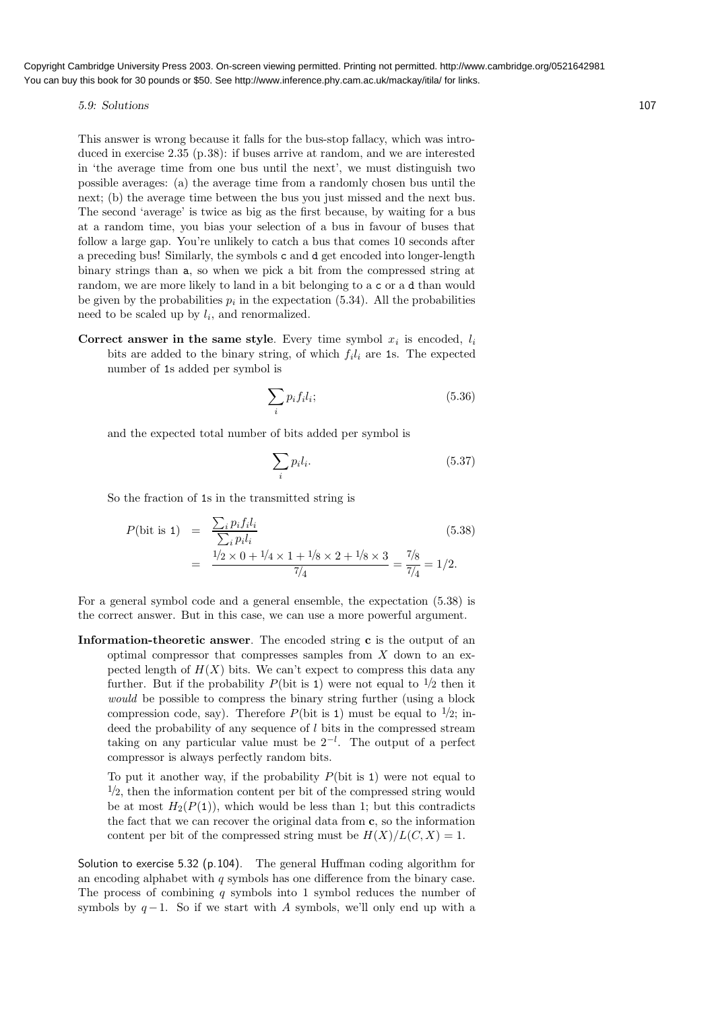5.9: Solutions 107

This answer is wrong because it falls for the bus-stop fallacy, which was introduced in exercise 2.35 (p.38): if buses arrive at random, and we are interested in 'the average time from one bus until the next', we must distinguish two possible averages: (a) the average time from a randomly chosen bus until the next; (b) the average time between the bus you just missed and the next bus. The second 'average' is twice as big as the first because, by waiting for a bus at a random time, you bias your selection of a bus in favour of buses that follow a large gap. You're unlikely to catch a bus that comes 10 seconds after a preceding bus! Similarly, the symbols c and d get encoded into longer-length binary strings than a, so when we pick a bit from the compressed string at random, we are more likely to land in a bit belonging to a c or a d than would be given by the probabilities  $p_i$  in the expectation (5.34). All the probabilities need to be scaled up by  $l_i$ , and renormalized.

Correct answer in the same style. Every time symbol  $x_i$  is encoded,  $l_i$ bits are added to the binary string, of which  $f_i l_i$  are 1s. The expected number of 1s added per symbol is

$$
\sum_{i} p_{i} f_{i} l_{i};\tag{5.36}
$$

and the expected total number of bits added per symbol is

$$
\sum_{i} p_i l_i. \tag{5.37}
$$

So the fraction of 1s in the transmitted string is

$$
P(\text{bit is 1}) = \frac{\sum_{i} p_{i} f_{i} l_{i}}{\sum_{i} p_{i} l_{i}} = \frac{1/2 \times 0 + 1/4 \times 1 + 1/8 \times 2 + 1/8 \times 3}{7/4} = \frac{7/8}{7/4} = 1/2.
$$
\n(5.38)

For a general symbol code and a general ensemble, the expectation (5.38) is the correct answer. But in this case, we can use a more powerful argument.

Information-theoretic answer. The encoded string c is the output of an optimal compressor that compresses samples from  $X$  down to an expected length of  $H(X)$  bits. We can't expect to compress this data any further. But if the probability  $P(\text{bit is 1})$  were not equal to  $\frac{1}{2}$  then it would be possible to compress the binary string further (using a block compression code, say). Therefore  $P(\text{bit is 1})$  must be equal to  $\frac{1}{2}$ ; indeed the probability of any sequence of  $l$  bits in the compressed stream taking on any particular value must be  $2^{-l}$ . The output of a perfect compressor is always perfectly random bits.

To put it another way, if the probability  $P(\text{bit is 1})$  were not equal to  $\frac{1}{2}$ , then the information content per bit of the compressed string would be at most  $H_2(P(1))$ , which would be less than 1; but this contradicts the fact that we can recover the original data from c, so the information content per bit of the compressed string must be  $H(X)/L(C, X) = 1$ .

Solution to exercise 5.32 (p.104). The general Huffman coding algorithm for an encoding alphabet with  $q$  symbols has one difference from the binary case. The process of combining  $q$  symbols into 1 symbol reduces the number of symbols by  $q-1$ . So if we start with A symbols, we'll only end up with a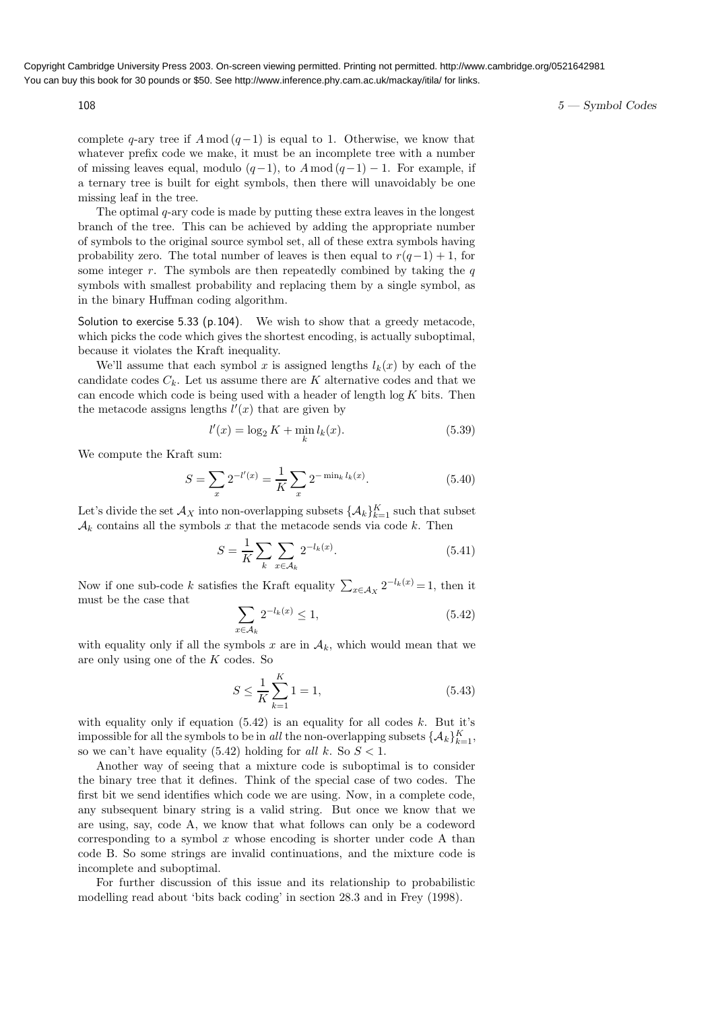$108$   $5 - \text{Symbol Codes}$ 

complete q-ary tree if  $A \mod (q-1)$  is equal to 1. Otherwise, we know that whatever prefix code we make, it must be an incomplete tree with a number of missing leaves equal, modulo  $(q-1)$ , to  $A \mod (q-1) - 1$ . For example, if a ternary tree is built for eight symbols, then there will unavoidably be one missing leaf in the tree.

The optimal  $q$ -ary code is made by putting these extra leaves in the longest branch of the tree. This can be achieved by adding the appropriate number of symbols to the original source symbol set, all of these extra symbols having probability zero. The total number of leaves is then equal to  $r(q-1) + 1$ , for some integer  $r$ . The symbols are then repeatedly combined by taking the  $q$ symbols with smallest probability and replacing them by a single symbol, as in the binary Huffman coding algorithm.

Solution to exercise 5.33 (p.104). We wish to show that a greedy metacode, which picks the code which gives the shortest encoding, is actually suboptimal, because it violates the Kraft inequality.

We'll assume that each symbol x is assigned lengths  $l_k(x)$  by each of the candidate codes  $C_k$ . Let us assume there are K alternative codes and that we can encode which code is being used with a header of length  $log K$  bits. Then the metacode assigns lengths  $l'(x)$  that are given by

$$
l'(x) = \log_2 K + \min_k l_k(x).
$$
 (5.39)

We compute the Kraft sum:

$$
S = \sum_{x} 2^{-l'(x)} = \frac{1}{K} \sum_{x} 2^{-\min_{k} l_k(x)}.
$$
 (5.40)

Let's divide the set  $\mathcal{A}_X$  into non-overlapping subsets  $\{\mathcal{A}_k\}_{k=1}^K$  such that subset  $\mathcal{A}_k$  contains all the symbols x that the metacode sends via code k. Then

$$
S = \frac{1}{K} \sum_{k} \sum_{x \in A_k} 2^{-l_k(x)}.
$$
 (5.41)

Now if one sub-code k satisfies the Kraft equality  $\sum_{x \in A_X} 2^{-l_k(x)} = 1$ , then it must be the case that

$$
\sum_{x \in \mathcal{A}_k} 2^{-l_k(x)} \le 1,\tag{5.42}
$$

with equality only if all the symbols x are in  $A_k$ , which would mean that we are only using one of the K codes. So

$$
S \le \frac{1}{K} \sum_{k=1}^{K} 1 = 1,\tag{5.43}
$$

with equality only if equation  $(5.42)$  is an equality for all codes k. But it's impossible for all the symbols to be in all the non-overlapping subsets  $\{\mathcal{A}_k\}_{k=1}^K$ , so we can't have equality (5.42) holding for all k. So  $S < 1$ .

Another way of seeing that a mixture code is suboptimal is to consider the binary tree that it defines. Think of the special case of two codes. The first bit we send identifies which code we are using. Now, in a complete code, any subsequent binary string is a valid string. But once we know that we are using, say, code A, we know that what follows can only be a codeword corresponding to a symbol  $x$  whose encoding is shorter under code A than code B. So some strings are invalid continuations, and the mixture code is incomplete and suboptimal.

For further discussion of this issue and its relationship to probabilistic modelling read about 'bits back coding' in section 28.3 and in Frey (1998).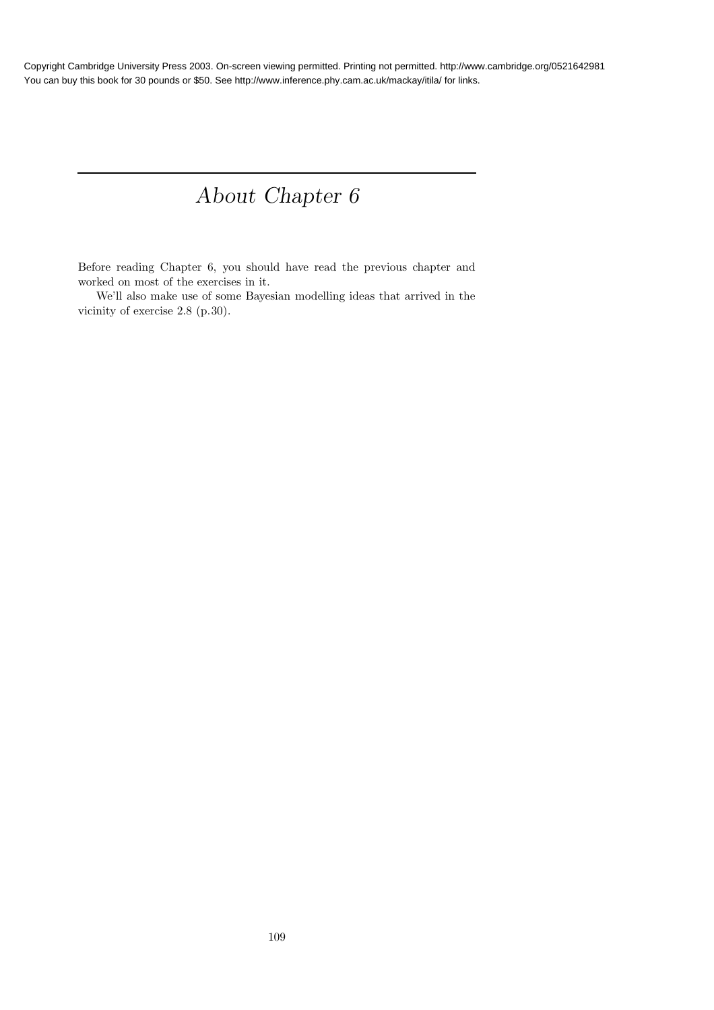# About Chapter 6

Before reading Chapter 6, you should have read the previous chapter and worked on most of the exercises in it.

We'll also make use of some Bayesian modelling ideas that arrived in the vicinity of exercise 2.8 (p.30).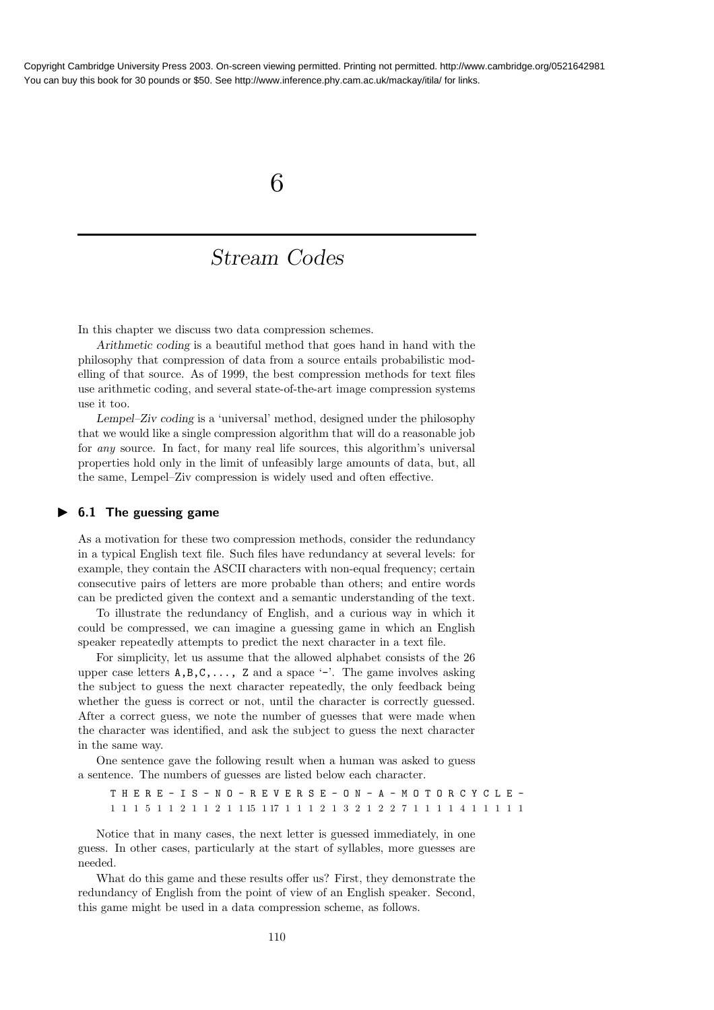### 6

## Stream Codes

In this chapter we discuss two data compression schemes.

Arithmetic coding is a beautiful method that goes hand in hand with the philosophy that compression of data from a source entails probabilistic modelling of that source. As of 1999, the best compression methods for text files use arithmetic coding, and several state-of-the-art image compression systems use it too.

Lempel–Ziv coding is a 'universal' method, designed under the philosophy that we would like a single compression algorithm that will do a reasonable job for any source. In fact, for many real life sources, this algorithm's universal properties hold only in the limit of unfeasibly large amounts of data, but, all the same, Lempel–Ziv compression is widely used and often effective.

#### $\blacktriangleright$  6.1 The guessing game

As a motivation for these two compression methods, consider the redundancy in a typical English text file. Such files have redundancy at several levels: for example, they contain the ASCII characters with non-equal frequency; certain consecutive pairs of letters are more probable than others; and entire words can be predicted given the context and a semantic understanding of the text.

To illustrate the redundancy of English, and a curious way in which it could be compressed, we can imagine a guessing game in which an English speaker repeatedly attempts to predict the next character in a text file.

For simplicity, let us assume that the allowed alphabet consists of the 26 upper case letters  $A, B, C, \ldots$ , Z and a space '-'. The game involves asking the subject to guess the next character repeatedly, the only feedback being whether the guess is correct or not, until the character is correctly guessed. After a correct guess, we note the number of guesses that were made when the character was identified, and ask the subject to guess the next character in the same way.

One sentence gave the following result when a human was asked to guess a sentence. The numbers of guesses are listed below each character.

T H E R E - I S - N O - R E V E R S E - O N - A - M O T O R C Y C L E - 1 1 1 5 1 1 2 1 1 2 1 1 15 1 17 1 1 1 2 1 3 2 1 2 2 7 1 1 1 1 4 1 1 1 1 1

Notice that in many cases, the next letter is guessed immediately, in one guess. In other cases, particularly at the start of syllables, more guesses are needed.

What do this game and these results offer us? First, they demonstrate the redundancy of English from the point of view of an English speaker. Second, this game might be used in a data compression scheme, as follows.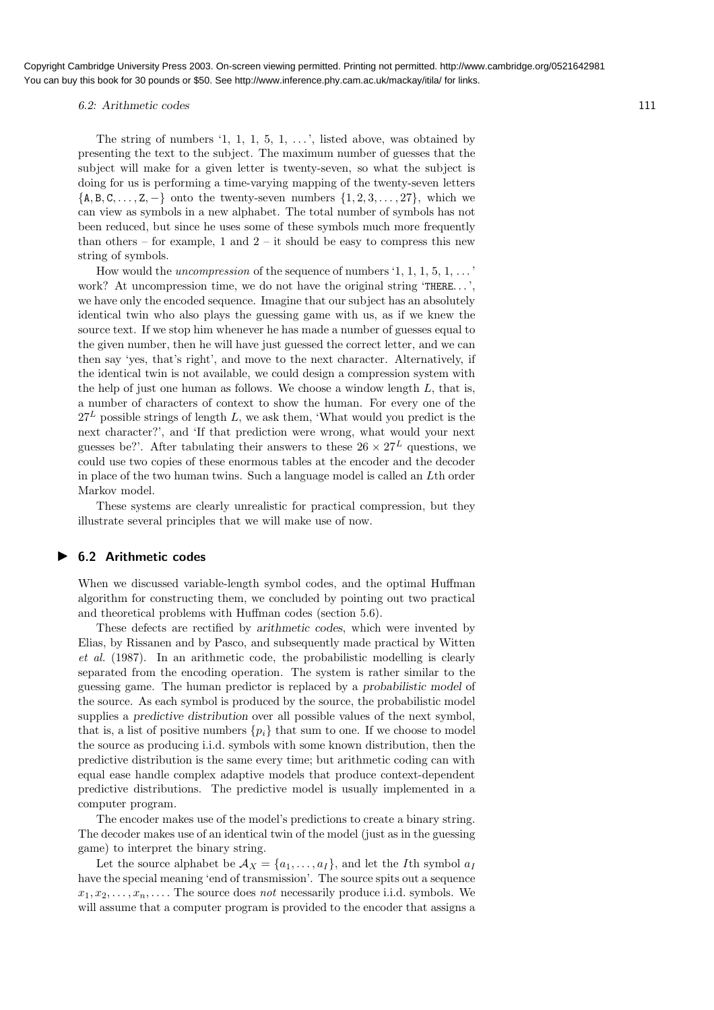#### 6.2: Arithmetic codes 111

The string of numbers  $\langle 1, 1, 1, 5, 1, \ldots \rangle$ , listed above, was obtained by presenting the text to the subject. The maximum number of guesses that the subject will make for a given letter is twenty-seven, so what the subject is doing for us is performing a time-varying mapping of the twenty-seven letters  $\{A, B, C, \ldots, Z, -\}$  onto the twenty-seven numbers  $\{1, 2, 3, \ldots, 27\}$ , which we can view as symbols in a new alphabet. The total number of symbols has not been reduced, but since he uses some of these symbols much more frequently than others – for example, 1 and  $2$  – it should be easy to compress this new string of symbols.

How would the *uncompression* of the sequence of numbers  $\langle 1, 1, 1, 5, 1, \ldots \rangle$ work? At uncompression time, we do not have the original string 'THERE...'. we have only the encoded sequence. Imagine that our subject has an absolutely identical twin who also plays the guessing game with us, as if we knew the source text. If we stop him whenever he has made a number of guesses equal to the given number, then he will have just guessed the correct letter, and we can then say 'yes, that's right', and move to the next character. Alternatively, if the identical twin is not available, we could design a compression system with the help of just one human as follows. We choose a window length  $L$ , that is, a number of characters of context to show the human. For every one of the  $27<sup>L</sup>$  possible strings of length L, we ask them, 'What would you predict is the next character?', and 'If that prediction were wrong, what would your next guesses be?'. After tabulating their answers to these  $26 \times 27^L$  questions, we could use two copies of these enormous tables at the encoder and the decoder in place of the two human twins. Such a language model is called an Lth order Markov model.

These systems are clearly unrealistic for practical compression, but they illustrate several principles that we will make use of now.

#### ▶ 6.2 Arithmetic codes

When we discussed variable-length symbol codes, and the optimal Huffman algorithm for constructing them, we concluded by pointing out two practical and theoretical problems with Huffman codes (section 5.6).

These defects are rectified by arithmetic codes, which were invented by Elias, by Rissanen and by Pasco, and subsequently made practical by Witten et al. (1987). In an arithmetic code, the probabilistic modelling is clearly separated from the encoding operation. The system is rather similar to the guessing game. The human predictor is replaced by a probabilistic model of the source. As each symbol is produced by the source, the probabilistic model supplies a predictive distribution over all possible values of the next symbol, that is, a list of positive numbers  $\{p_i\}$  that sum to one. If we choose to model the source as producing i.i.d. symbols with some known distribution, then the predictive distribution is the same every time; but arithmetic coding can with equal ease handle complex adaptive models that produce context-dependent predictive distributions. The predictive model is usually implemented in a computer program.

The encoder makes use of the model's predictions to create a binary string. The decoder makes use of an identical twin of the model (just as in the guessing game) to interpret the binary string.

Let the source alphabet be  $\mathcal{A}_X = \{a_1, \ldots, a_I\}$ , and let the *I*th symbol  $a_I$ have the special meaning 'end of transmission'. The source spits out a sequence  $x_1, x_2, \ldots, x_n, \ldots$ . The source does not necessarily produce i.i.d. symbols. We will assume that a computer program is provided to the encoder that assigns a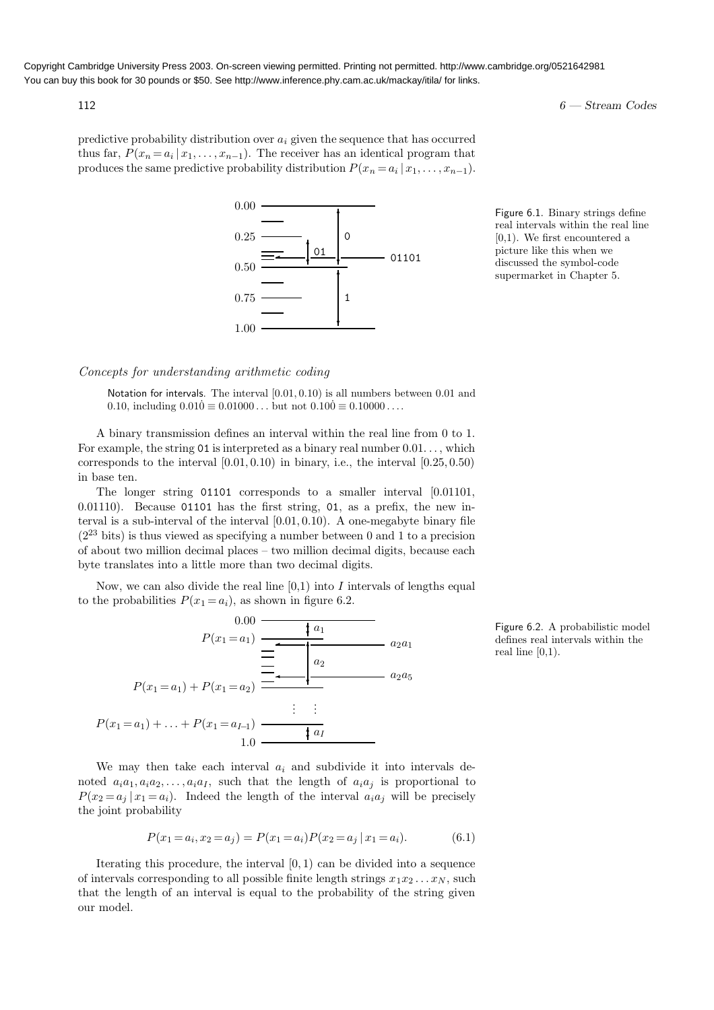$112$  6 — Stream Codes

predictive probability distribution over  $a_i$  given the sequence that has occurred thus far,  $P(x_n = a_i | x_1, \ldots, x_{n-1})$ . The receiver has an identical program that produces the same predictive probability distribution  $P(x_n = a_i | x_1, \ldots, x_{n-1})$ .



Figure 6.1. Binary strings define real intervals within the real line [0,1). We first encountered a picture like this when we discussed the symbol-code supermarket in Chapter 5.

#### Concepts for understanding arithmetic coding

Notation for intervals. The interval  $[0.01, 0.10)$  is all numbers between 0.01 and 0.10, including  $0.010 \equiv 0.01000 \dots$  but not  $0.100 \equiv 0.10000 \dots$ 

A binary transmission defines an interval within the real line from 0 to 1. For example, the string 01 is interpreted as a binary real number  $0.01...$ , which corresponds to the interval  $[0.01, 0.10)$  in binary, i.e., the interval  $[0.25, 0.50)$ in base ten.

The longer string 01101 corresponds to a smaller interval [0.01101,  $0.01110$ . Because  $0.01101$  has the first string, 01, as a prefix, the new interval is a sub-interval of the interval  $[0.01, 0.10)$ . A one-megabyte binary file  $(2^{23}$  bits) is thus viewed as specifying a number between 0 and 1 to a precision of about two million decimal places – two million decimal digits, because each byte translates into a little more than two decimal digits.

Now, we can also divide the real line  $[0,1)$  into I intervals of lengths equal to the probabilities  $P(x_1 = a_i)$ , as shown in figure 6.2.

$$
P(x_1 = a_1) \overline{) \underbrace{+ a_1}_{a_2} \underbrace{+ a_2}_{a_2 a_1} \cdots \underbrace{+ a_2}_{a_2 a_5}
$$
\n
$$
P(x_1 = a_1) + P(x_1 = a_2) \overline{) \underbrace{+ \underbrace{+ a_1}_{a_2} \cdots \cdots \cdots}_{a_2 a_5}
$$
\n
$$
\vdots \quad \vdots
$$
\n
$$
P(x_1 = a_1) + \ldots + P(x_1 = a_{I-1}) \overline{) \underbrace{+ a_I}_{a_I}}
$$

We may then take each interval  $a_i$  and subdivide it into intervals denoted  $a_i a_1, a_i a_2, \ldots, a_i a_I$ , such that the length of  $a_i a_j$  is proportional to  $P(x_2 = a_i | x_1 = a_i)$ . Indeed the length of the interval  $a_i a_i$  will be precisely the joint probability

$$
P(x_1 = a_i, x_2 = a_j) = P(x_1 = a_i)P(x_2 = a_j | x_1 = a_i).
$$
\n(6.1)

Iterating this procedure, the interval  $[0, 1)$  can be divided into a sequence of intervals corresponding to all possible finite length strings  $x_1x_2 \ldots x_N$ , such that the length of an interval is equal to the probability of the string given our model.

Figure 6.2. A probabilistic model defines real intervals within the real line  $[0,1)$ .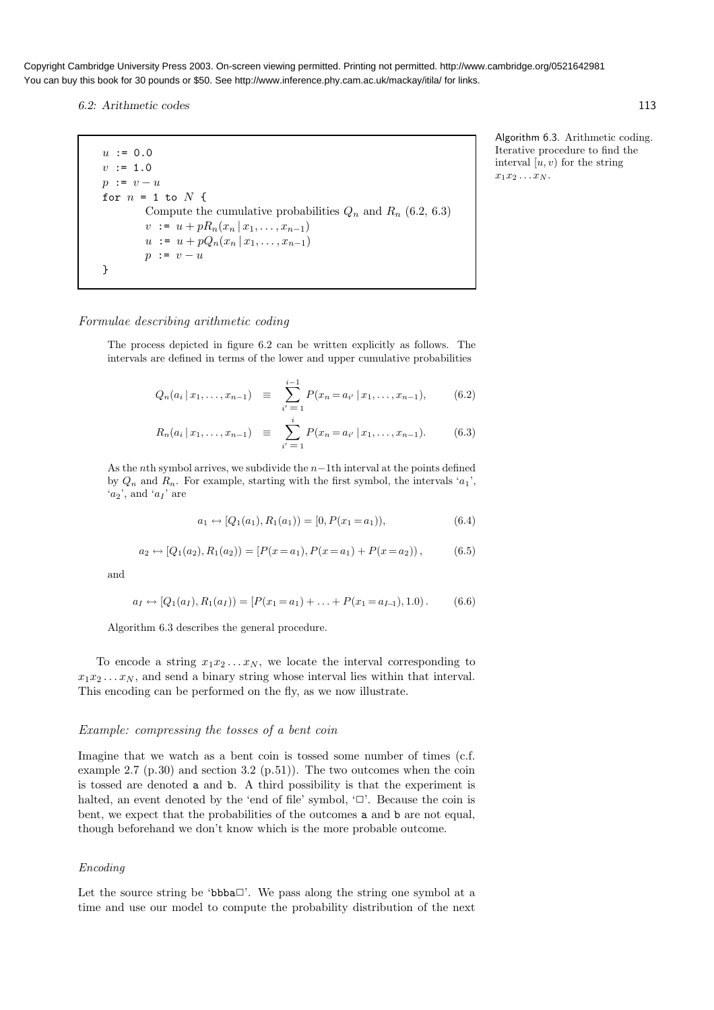6.2: Arithmetic codes 113

 $u := 0.0$  $v := 1.0$  $p := v - u$ for  $n = 1$  to  $N$  { Compute the cumulative probabilities  $Q_n$  and  $R_n$  (6.2, 6.3)  $v := u + pR_n(x_n | x_1, \ldots, x_{n-1})$  $u := u + pQ_n(x_n | x_1, \ldots, x_{n-1})$  $p := v - u$ }

Formulae describing arithmetic coding

The process depicted in figure 6.2 can be written explicitly as follows. The intervals are defined in terms of the lower and upper cumulative probabilities

$$
Q_n(a_i \,|\, x_1, \ldots, x_{n-1}) \equiv \sum_{i'=1}^{i-1} P(x_n = a_{i'} \,|\, x_1, \ldots, x_{n-1}), \qquad (6.2)
$$

$$
R_n(a_i \,|\, x_1, \ldots, x_{n-1}) \equiv \sum_{i'=1}^i P(x_n = a_{i'} \,|\, x_1, \ldots, x_{n-1}). \tag{6.3}
$$

As the nth symbol arrives, we subdivide the  $n-1$ th interval at the points defined by  $Q_n$  and  $R_n$ . For example, starting with the first symbol, the intervals ' $a_1$ ',  $(a_2)$ , and  $(a_1)$  are

$$
a_1 \leftrightarrow [Q_1(a_1), R_1(a_1)] = [0, P(x_1 = a_1)), \tag{6.4}
$$

$$
a_2 \leftrightarrow [Q_1(a_2), R_1(a_2)] = [P(x = a_1), P(x = a_1) + P(x = a_2)], \tag{6.5}
$$

and

$$
a_I \leftrightarrow [Q_1(a_I), R_1(a_I)] = [P(x_1 = a_1) + \ldots + P(x_1 = a_{I-1}), 1.0).
$$
 (6.6)

Algorithm 6.3 describes the general procedure.

To encode a string  $x_1x_2 \ldots x_N$ , we locate the interval corresponding to  $x_1x_2 \ldots x_N$ , and send a binary string whose interval lies within that interval. This encoding can be performed on the fly, as we now illustrate.

#### Example: compressing the tosses of a bent coin

Imagine that we watch as a bent coin is tossed some number of times (c.f. example 2.7 (p.30) and section 3.2 (p.51)). The two outcomes when the coin is tossed are denoted a and b. A third possibility is that the experiment is halted, an event denoted by the 'end of file' symbol,  $\Box$ . Because the coin is bent, we expect that the probabilities of the outcomes a and b are not equal, though beforehand we don't know which is the more probable outcome.

#### Encoding

Let the source string be 'bbba $\Box$ '. We pass along the string one symbol at a time and use our model to compute the probability distribution of the next Algorithm 6.3. Arithmetic coding.

Iterative procedure to find the interval  $[u, v)$  for the string

 $x_1x_2 \ldots x_N$ .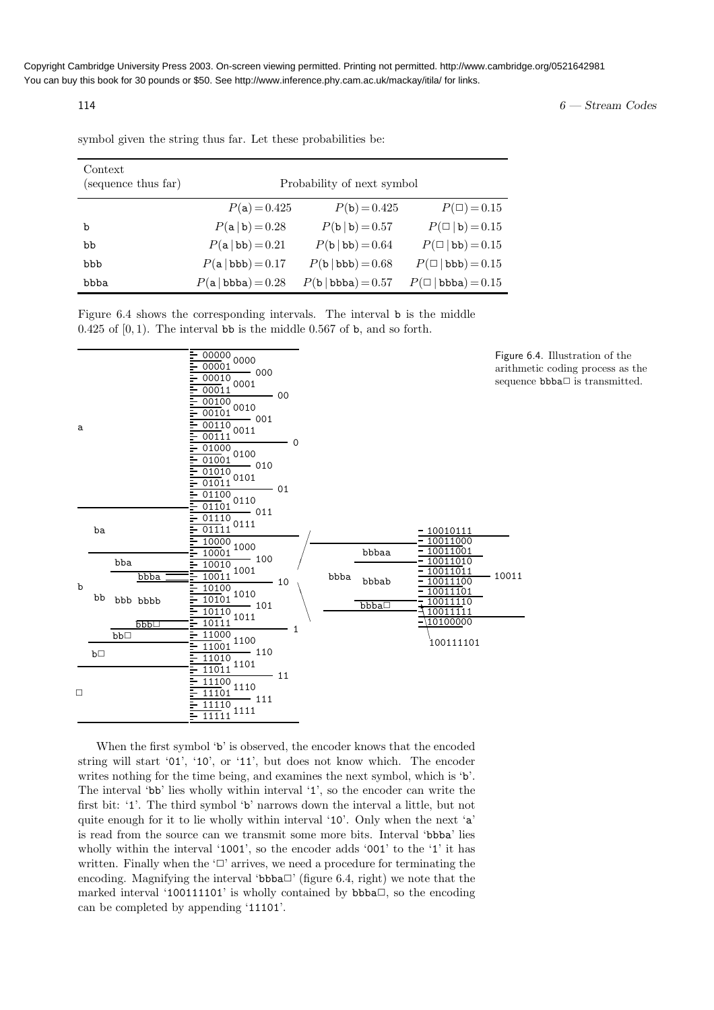$114$  6 — Stream Codes

symbol given the string thus far. Let these probabilities be:

| Context<br>(sequence thus far) | Probability of next symbol |                      |                                   |  |  |  |
|--------------------------------|----------------------------|----------------------|-----------------------------------|--|--|--|
|                                | $P(a)=0.425$               | $P(b) = 0.425$       | $P(\Box) = 0.15$                  |  |  |  |
| b                              | $P(a b) = 0.28$            | $P(b b) = 0.57$      | $P(\Box   \mathbf{b}) = 0.15$     |  |  |  |
| bb                             | $P(a   bb) = 0.21$         | $P(b   bb) = 0.64$   | $P(\Box   \text{bb}) = 0.15$      |  |  |  |
| bbb                            | $P(a   bbb) = 0.17$        | $P(b   bbb) = 0.68$  | $P(\Box   \text{bbb}) = 0.15$     |  |  |  |
| bbba                           | $P(a   bbba) = 0.28$       | $P(b   bbba) = 0.57$ | $P(\Box \mid \text{bbba}) = 0.15$ |  |  |  |

Figure 6.4 shows the corresponding intervals. The interval b is the middle  $0.425$  of  $[0, 1)$ . The interval bb is the middle 0.567 of b, and so forth.



When the first symbol 'b' is observed, the encoder knows that the encoded string will start '01', '10', or '11', but does not know which. The encoder writes nothing for the time being, and examines the next symbol, which is 'b'. The interval 'bb' lies wholly within interval '1', so the encoder can write the first bit: '1'. The third symbol 'b' narrows down the interval a little, but not quite enough for it to lie wholly within interval '10'. Only when the next 'a' is read from the source can we transmit some more bits. Interval 'bbba' lies wholly within the interval '1001', so the encoder adds '001' to the '1' it has written. Finally when the ' $\Box$ ' arrives, we need a procedure for terminating the encoding. Magnifying the interval 'bbba $\Box$ ' (figure 6.4, right) we note that the marked interval '100111101' is wholly contained by  $bbba\Box$ , so the encoding can be completed by appending '11101'.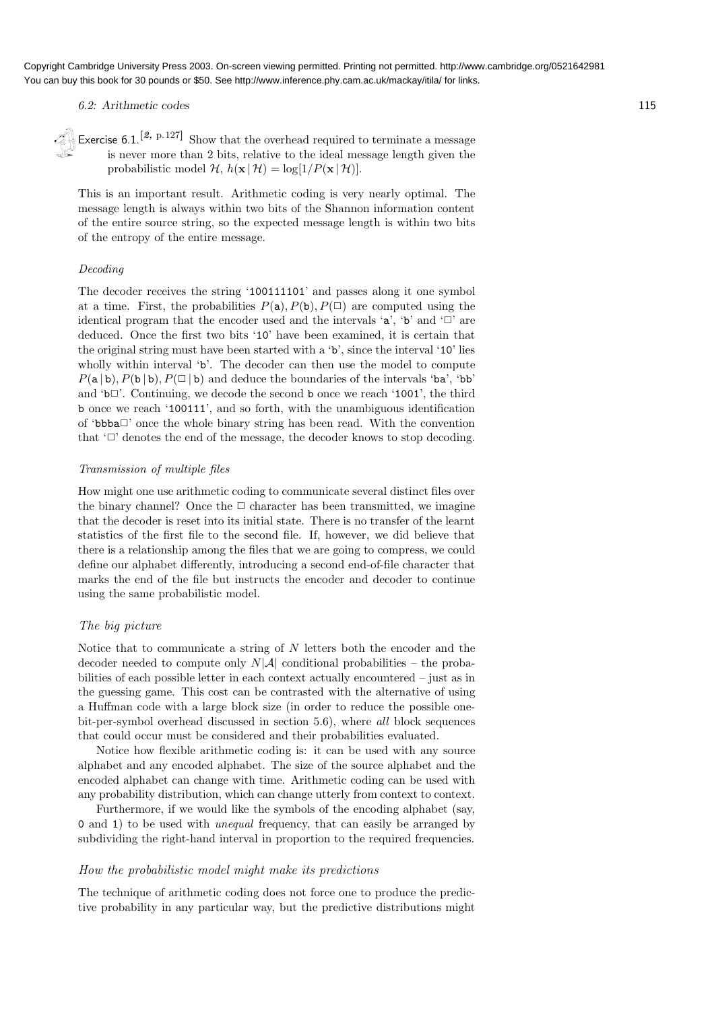6.2: Arithmetic codes 115

Exercise 6.1.<sup>[2, p.127]</sup> Show that the overhead required to terminate a message is never more than 2 bits, relative to the ideal message length given the probabilistic model H,  $h(\mathbf{x} | \mathcal{H}) = \log[1/P(\mathbf{x} | \mathcal{H})].$ 

This is an important result. Arithmetic coding is very nearly optimal. The message length is always within two bits of the Shannon information content of the entire source string, so the expected message length is within two bits of the entropy of the entire message.

#### Decoding

The decoder receives the string '100111101' and passes along it one symbol at a time. First, the probabilities  $P(a)$ ,  $P(b)$ ,  $P(\Box)$  are computed using the identical program that the encoder used and the intervals 'a', 'b' and ' $\Box$ ' are deduced. Once the first two bits '10' have been examined, it is certain that the original string must have been started with a 'b', since the interval '10' lies wholly within interval 'b'. The decoder can then use the model to compute  $P(a | b)$ ,  $P(b | b)$ ,  $P(\Box | b)$  and deduce the boundaries of the intervals 'ba', 'bb' and ' $b\Box$ '. Continuing, we decode the second b once we reach '1001', the third b once we reach '100111', and so forth, with the unambiguous identification of 'bbba✷' once the whole binary string has been read. With the convention that  $\Box$  denotes the end of the message, the decoder knows to stop decoding.

#### Transmission of multiple files

How might one use arithmetic coding to communicate several distinct files over the binary channel? Once the  $\Box$  character has been transmitted, we imagine that the decoder is reset into its initial state. There is no transfer of the learnt statistics of the first file to the second file. If, however, we did believe that there is a relationship among the files that we are going to compress, we could define our alphabet differently, introducing a second end-of-file character that marks the end of the file but instructs the encoder and decoder to continue using the same probabilistic model.

#### The big picture

Notice that to communicate a string of N letters both the encoder and the decoder needed to compute only  $N|\mathcal{A}|$  conditional probabilities – the probabilities of each possible letter in each context actually encountered – just as in the guessing game. This cost can be contrasted with the alternative of using a Huffman code with a large block size (in order to reduce the possible onebit-per-symbol overhead discussed in section 5.6), where all block sequences that could occur must be considered and their probabilities evaluated.

Notice how flexible arithmetic coding is: it can be used with any source alphabet and any encoded alphabet. The size of the source alphabet and the encoded alphabet can change with time. Arithmetic coding can be used with any probability distribution, which can change utterly from context to context.

Furthermore, if we would like the symbols of the encoding alphabet (say, 0 and 1) to be used with unequal frequency, that can easily be arranged by subdividing the right-hand interval in proportion to the required frequencies.

#### How the probabilistic model might make its predictions

The technique of arithmetic coding does not force one to produce the predictive probability in any particular way, but the predictive distributions might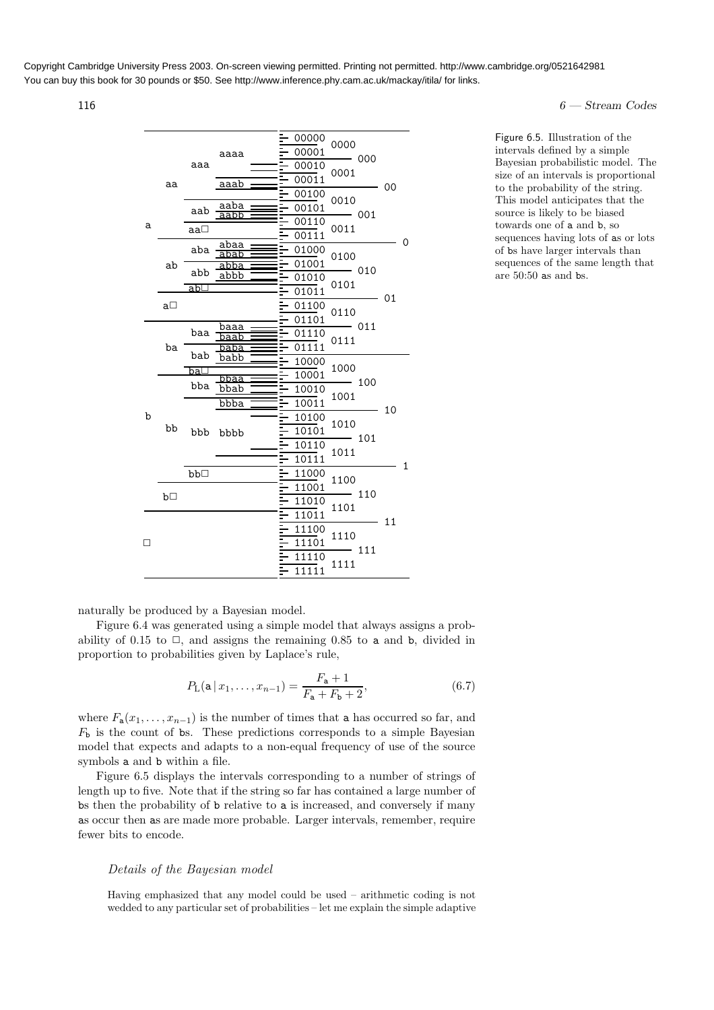$116$  6 — Stream Codes

|   | aa      |            |              |   |       | 00000          | 0000                         |        |    |              |
|---|---------|------------|--------------|---|-------|----------------|------------------------------|--------|----|--------------|
|   |         |            | aaaa         |   |       | 00001          | $\overline{\phantom{0}}$ 000 |        |    |              |
|   |         | aaa        |              |   |       | 00010          | 0001                         |        |    |              |
|   |         |            | aaab         |   |       | 00011          |                              |        | 00 |              |
|   |         | aab        | aaba         |   |       | 00100          | 0010                         | — 001  |    |              |
|   |         |            | aabb         |   |       | 00101          |                              |        |    |              |
| a |         | aa□        |              |   |       | 00110<br>00111 | 0011                         |        |    |              |
|   |         |            | abaa         |   |       |                |                              |        |    | 0            |
|   |         | aba        | abab         |   |       | 01000<br>01001 | 0100                         |        |    |              |
|   | ab      | abb        | abba<br>abbb |   |       | 01010          | $- 010$                      |        |    |              |
|   |         | abl        |              |   |       | 01011          | 0101                         |        | 01 |              |
|   | a□      |            |              |   |       | 01100          |                              |        |    |              |
|   |         |            |              |   |       | 01101          | 0110                         |        |    |              |
|   | ba      | baa<br>bab | baaa<br>baab |   |       | 01110          | $- 011$                      |        |    |              |
|   |         |            | baba         | 5 | 01111 | 0111           |                              |        |    |              |
|   |         |            | babb         |   |       | 10000          |                              |        |    |              |
|   |         | ba∟        | bbaa         |   |       | 10001          | 1000                         |        |    |              |
|   |         | bba        | bbab         |   |       | 10010          | $- 100$                      | 10     |    |              |
|   |         |            | bbba         |   |       | 10011          | 1001                         |        |    |              |
| b |         |            |              |   |       | 10100          |                              |        |    |              |
|   | bb      |            | bbb bbbb     |   |       | 10101          | 1010<br>$- 101$              |        |    |              |
|   |         |            |              |   |       | 10110<br>1011  |                              |        |    |              |
|   |         |            |              |   |       | 10111          |                              |        |    | $\mathbf{1}$ |
|   |         | bb□        |              |   |       | 11000          | 1100                         |        |    |              |
|   | $b\Box$ |            |              |   |       | 11001          |                              | $-110$ |    |              |
|   |         |            |              |   |       | 11010          | 1101                         |        |    |              |
|   |         |            |              |   |       | 11011          |                              |        | 11 |              |
|   |         |            |              |   |       | 11100          | 1110                         |        |    |              |
|   |         |            |              |   |       | 11101          |                              | $-111$ |    |              |
|   |         |            |              |   |       | 11110          | 1111                         |        |    |              |
|   |         |            |              |   |       | 11111          |                              |        |    |              |

Figure 6.5. Illustration of the intervals defined by a simple Bayesian probabilistic model. The size of an intervals is proportional to the probability of the string. This model anticipates that the source is likely to be biased towards one of a and b, so sequences having lots of as or lots of bs have larger intervals than sequences of the same length that are 50:50 as and bs.

naturally be produced by a Bayesian model.

Figure 6.4 was generated using a simple model that always assigns a probability of 0.15 to  $\Box$ , and assigns the remaining 0.85 to a and b, divided in proportion to probabilities given by Laplace's rule,

$$
P_{\mathcal{L}}(\mathbf{a} \,|\, x_1, \dots, x_{n-1}) = \frac{F_{\mathbf{a}} + 1}{F_{\mathbf{a}} + F_{\mathbf{b}} + 2},\tag{6.7}
$$

where  $F_a(x_1, \ldots, x_{n-1})$  is the number of times that a has occurred so far, and  $F<sub>b</sub>$  is the count of bs. These predictions corresponds to a simple Bayesian model that expects and adapts to a non-equal frequency of use of the source symbols a and b within a file.

Figure 6.5 displays the intervals corresponding to a number of strings of length up to five. Note that if the string so far has contained a large number of bs then the probability of b relative to a is increased, and conversely if many as occur then as are made more probable. Larger intervals, remember, require fewer bits to encode.

#### Details of the Bayesian model

Having emphasized that any model could be used – arithmetic coding is not wedded to any particular set of probabilities – let me explain the simple adaptive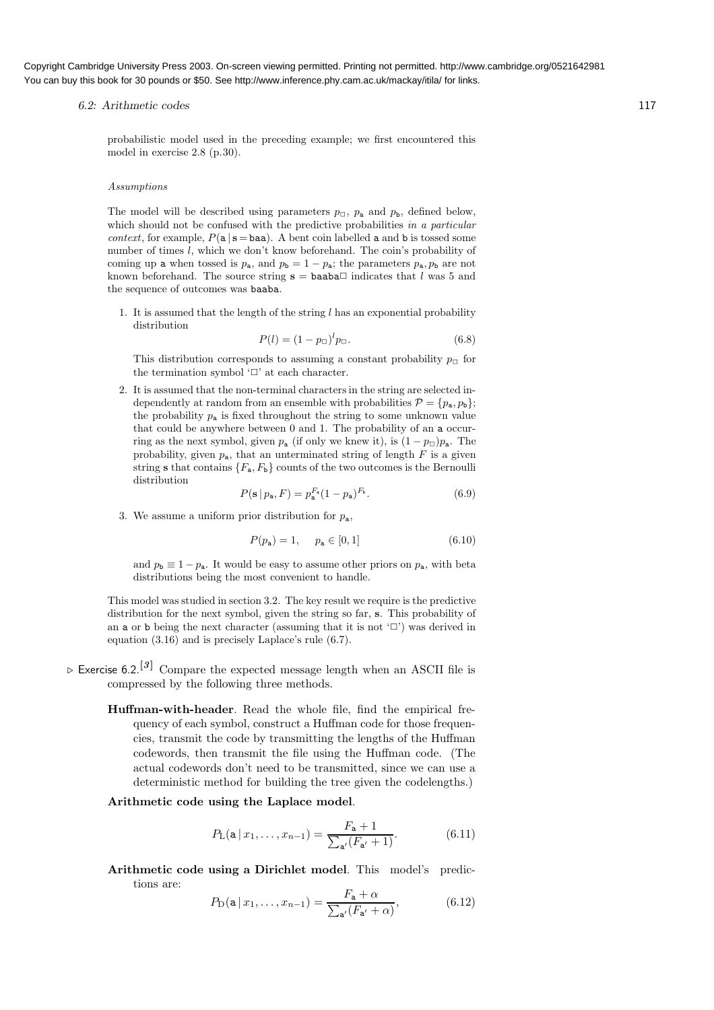#### 6.2: Arithmetic codes 117

probabilistic model used in the preceding example; we first encountered this model in exercise 2.8 (p.30).

#### Assumptions

The model will be described using parameters  $p_{\Box}$ ,  $p_{\mathbf{a}}$  and  $p_{\mathbf{b}}$ , defined below, which should not be confused with the predictive probabilities in a particular context, for example,  $P(a | s = baa)$ . A bent coin labelled a and b is tossed some number of times l, which we don't know beforehand. The coin's probability of coming up a when tossed is  $p_a$ , and  $p_b = 1 - p_a$ ; the parameters  $p_a, p_b$  are not known beforehand. The source string  $s = baaba\Box$  indicates that l was 5 and the sequence of outcomes was baaba.

1. It is assumed that the length of the string  $l$  has an exponential probability distribution

$$
P(l) = (1 - p_{\Box})^{l} p_{\Box}.
$$
\n(6.8)

This distribution corresponds to assuming a constant probability  $p_{\Box}$  for the termination symbol ' $\Box$ ' at each character.

2. It is assumed that the non-terminal characters in the string are selected independently at random from an ensemble with probabilities  $\mathcal{P} = \{p_a, p_b\};$ the probability  $p_a$  is fixed throughout the string to some unknown value that could be anywhere between 0 and 1. The probability of an a occurring as the next symbol, given  $p_a$  (if only we knew it), is  $(1 - p_\Box)p_a$ . The probability, given  $p_a$ , that an unterminated string of length  $F$  is a given string s that contains  ${F_a, F_b}$  counts of the two outcomes is the Bernoulli distribution

$$
P(\mathbf{s} \mid p_{\mathbf{a}}, F) = p_{\mathbf{a}}^{F_{\mathbf{a}}}(1 - p_{\mathbf{a}})^{F_{\mathbf{b}}}.
$$
\n
$$
(6.9)
$$

3. We assume a uniform prior distribution for  $p_a$ ,

$$
P(p_a) = 1, \quad p_a \in [0, 1] \tag{6.10}
$$

and  $p_{\rm b} \equiv 1 - p_{\rm a}$ . It would be easy to assume other priors on  $p_{\rm a}$ , with beta distributions being the most convenient to handle.

This model was studied in section 3.2. The key result we require is the predictive distribution for the next symbol, given the string so far, s. This probability of an a or b being the next character (assuming that it is not  $\langle \Box \rangle$ ) was derived in equation (3.16) and is precisely Laplace's rule (6.7).

- $\triangleright$  Exercise 6.2.<sup>[3]</sup> Compare the expected message length when an ASCII file is compressed by the following three methods.
	- Huffman-with-header. Read the whole file, find the empirical frequency of each symbol, construct a Huffman code for those frequencies, transmit the code by transmitting the lengths of the Huffman codewords, then transmit the file using the Huffman code. (The actual codewords don't need to be transmitted, since we can use a deterministic method for building the tree given the codelengths.)

#### Arithmetic code using the Laplace model.

$$
P_{\mathcal{L}}(\mathbf{a} \,|\, x_1, \dots, x_{n-1}) = \frac{F_{\mathbf{a}} + 1}{\sum_{\mathbf{a}'} (F_{\mathbf{a}'} + 1)}.\tag{6.11}
$$

Arithmetic code using a Dirichlet model. This model's predictions are:

$$
P_{\mathcal{D}}(\mathbf{a} \mid x_1, \dots, x_{n-1}) = \frac{F_{\mathbf{a}} + \alpha}{\sum_{\mathbf{a}'} (F_{\mathbf{a}'} + \alpha)},\tag{6.12}
$$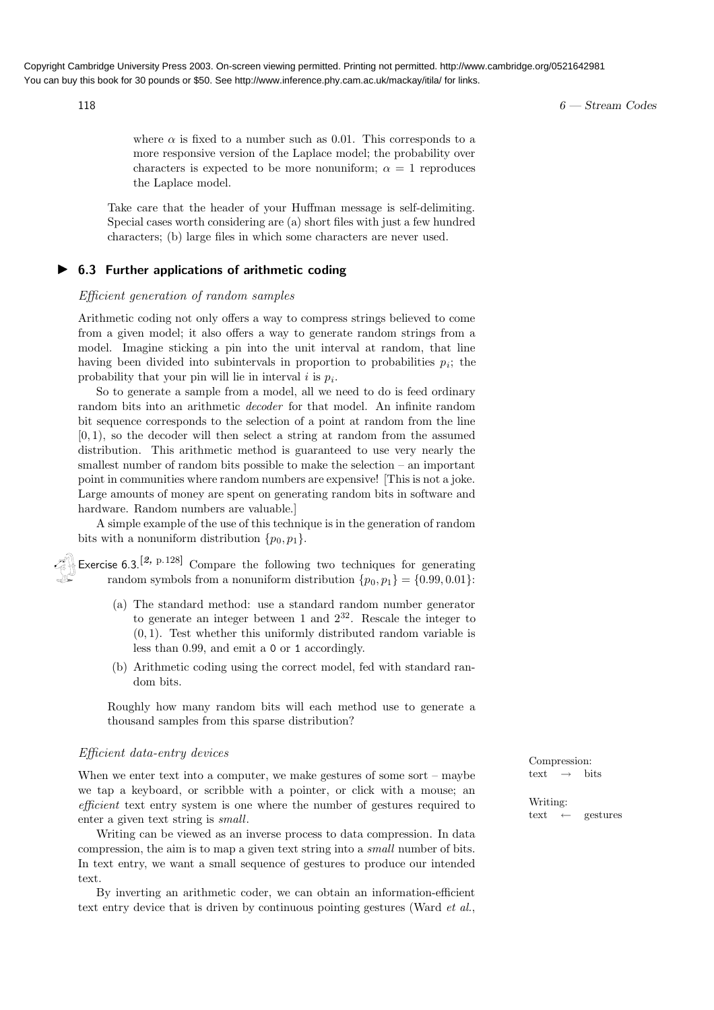$118$  6 — Stream Codes

where  $\alpha$  is fixed to a number such as 0.01. This corresponds to a more responsive version of the Laplace model; the probability over characters is expected to be more nonuniform;  $\alpha = 1$  reproduces the Laplace model.

Take care that the header of your Huffman message is self-delimiting. Special cases worth considering are (a) short files with just a few hundred characters; (b) large files in which some characters are never used.

#### ▶ 6.3 Further applications of arithmetic coding

#### Efficient generation of random samples

Arithmetic coding not only offers a way to compress strings believed to come from a given model; it also offers a way to generate random strings from a model. Imagine sticking a pin into the unit interval at random, that line having been divided into subintervals in proportion to probabilities  $p_i$ ; the probability that your pin will lie in interval  $i$  is  $p_i$ .

So to generate a sample from a model, all we need to do is feed ordinary random bits into an arithmetic decoder for that model. An infinite random bit sequence corresponds to the selection of a point at random from the line  $[0, 1)$ , so the decoder will then select a string at random from the assumed distribution. This arithmetic method is guaranteed to use very nearly the smallest number of random bits possible to make the selection – an important point in communities where random numbers are expensive! [This is not a joke. Large amounts of money are spent on generating random bits in software and hardware. Random numbers are valuable.]

A simple example of the use of this technique is in the generation of random bits with a nonuniform distribution  $\{p_0, p_1\}.$ 

Exercise 6.3.<sup>[2, p.128]</sup> Compare the following two techniques for generating random symbols from a nonuniform distribution  $\{p_0, p_1\} = \{0.99, 0.01\}$ :

- (a) The standard method: use a standard random number generator to generate an integer between 1 and  $2^{32}$ . Rescale the integer to  $(0, 1)$ . Test whether this uniformly distributed random variable is less than 0.99, and emit a 0 or 1 accordingly.
- (b) Arithmetic coding using the correct model, fed with standard random bits.

Roughly how many random bits will each method use to generate a thousand samples from this sparse distribution?

#### Efficient data-entry devices

When we enter text into a computer, we make gestures of some sort – maybe we tap a keyboard, or scribble with a pointer, or click with a mouse; an efficient text entry system is one where the number of gestures required to enter a given text string is small.

Writing can be viewed as an inverse process to data compression. In data compression, the aim is to map a given text string into a small number of bits. In text entry, we want a small sequence of gestures to produce our intended text.

By inverting an arithmetic coder, we can obtain an information-efficient text entry device that is driven by continuous pointing gestures (Ward *et al.*, Compression: text  $\rightarrow$  bits

Writing: text  $\leftarrow$  gestures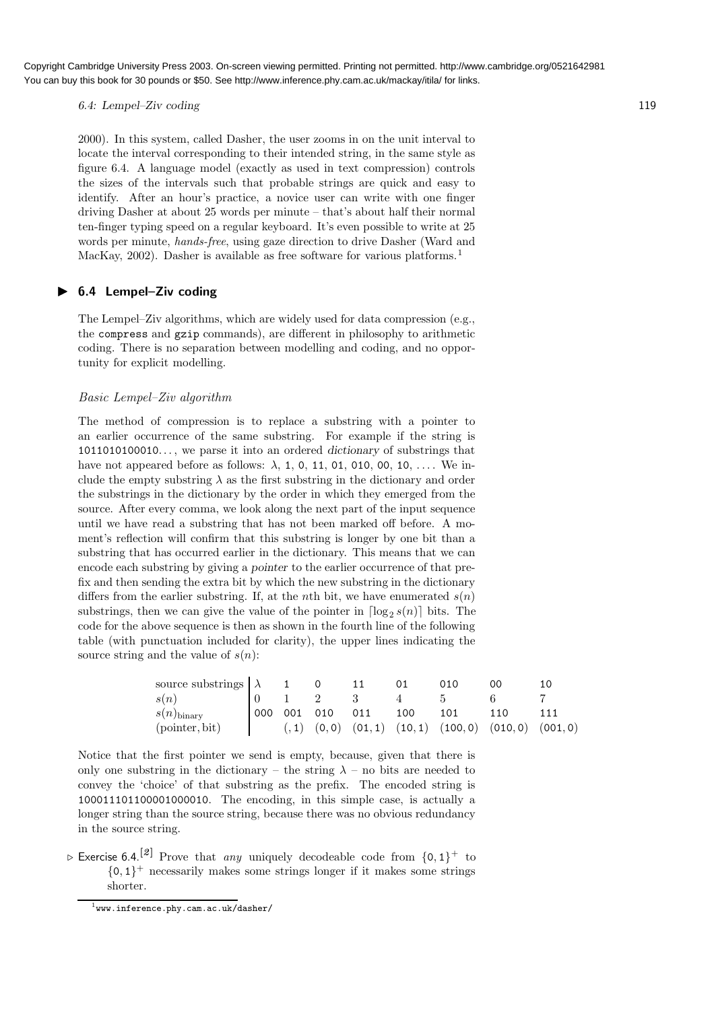6.4: Lempel–Ziv coding 119

2000). In this system, called Dasher, the user zooms in on the unit interval to locate the interval corresponding to their intended string, in the same style as figure 6.4. A language model (exactly as used in text compression) controls the sizes of the intervals such that probable strings are quick and easy to identify. After an hour's practice, a novice user can write with one finger driving Dasher at about 25 words per minute – that's about half their normal ten-finger typing speed on a regular keyboard. It's even possible to write at 25 words per minute, hands-free, using gaze direction to drive Dasher (Ward and MacKay, 2002). Dasher is available as free software for various platforms.<sup>1</sup>

#### ▶ 6.4 Lempel-Ziv coding

The Lempel–Ziv algorithms, which are widely used for data compression (e.g., the compress and gzip commands), are different in philosophy to arithmetic coding. There is no separation between modelling and coding, and no opportunity for explicit modelling.

#### Basic Lempel–Ziv algorithm

The method of compression is to replace a substring with a pointer to an earlier occurrence of the same substring. For example if the string is 1011010100010.. . , we parse it into an ordered dictionary of substrings that have not appeared before as follows:  $\lambda$ , 1, 0, 11, 01, 010, 00, 10, ... We include the empty substring  $\lambda$  as the first substring in the dictionary and order the substrings in the dictionary by the order in which they emerged from the source. After every comma, we look along the next part of the input sequence until we have read a substring that has not been marked off before. A moment's reflection will confirm that this substring is longer by one bit than a substring that has occurred earlier in the dictionary. This means that we can encode each substring by giving a pointer to the earlier occurrence of that prefix and then sending the extra bit by which the new substring in the dictionary differs from the earlier substring. If, at the *n*th bit, we have enumerated  $s(n)$ substrings, then we can give the value of the pointer in  $\lceil \log_2 s(n) \rceil$  bits. The code for the above sequence is then as shown in the fourth line of the following table (with punctuation included for clarity), the upper lines indicating the source string and the value of  $s(n)$ :

| source substrings $\lambda$ 1 |  |                 |     |     | 00                                                              |  |
|-------------------------------|--|-----------------|-----|-----|-----------------------------------------------------------------|--|
| s(n)                          |  |                 |     |     |                                                                 |  |
| $s(n)_{\text{binary}}$        |  | 000 001 010 011 | 100 | 101 | 110                                                             |  |
| (pointer, bit)                |  |                 |     |     | $(0,1)$ $(0,0)$ $(01,1)$ $(10,1)$ $(100,0)$ $(010,0)$ $(001,0)$ |  |

Notice that the first pointer we send is empty, because, given that there is only one substring in the dictionary – the string  $\lambda$  – no bits are needed to convey the 'choice' of that substring as the prefix. The encoded string is 100011101100001000010. The encoding, in this simple case, is actually a longer string than the source string, because there was no obvious redundancy in the source string.

 $\triangleright$  Exercise 6.4.<sup>[2]</sup> Prove that *any* uniquely decodeable code from  $\{0,1\}^+$  to  ${0,1}^+$  necessarily makes some strings longer if it makes some strings shorter.

 $^1$ www.inference.phy.cam.ac.uk/dasher/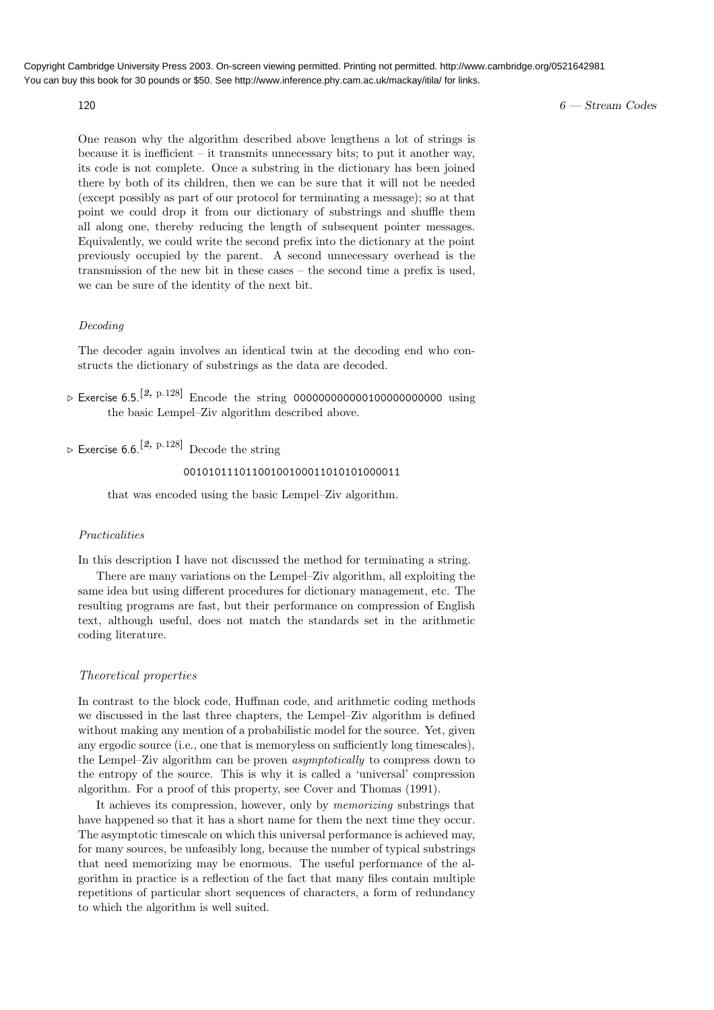#### $120$  6 — Stream Codes

One reason why the algorithm described above lengthens a lot of strings is because it is inefficient  $-$  it transmits unnecessary bits; to put it another way, its code is not complete. Once a substring in the dictionary has been joined there by both of its children, then we can be sure that it will not be needed (except possibly as part of our protocol for terminating a message); so at that point we could drop it from our dictionary of substrings and shuffle them all along one, thereby reducing the length of subsequent pointer messages. Equivalently, we could write the second prefix into the dictionary at the point previously occupied by the parent. A second unnecessary overhead is the transmission of the new bit in these cases – the second time a prefix is used, we can be sure of the identity of the next bit.

#### Decoding

The decoder again involves an identical twin at the decoding end who constructs the dictionary of substrings as the data are decoded.

- $\triangleright$  Exercise 6.5.<sup>[2, p.128]</sup> Encode the string 00000000000000000000000000 using the basic Lempel–Ziv algorithm described above.
- $\triangleright$  Fxercise 6.6.<sup>[2, p.128]</sup> Decode the string

#### 00101011101100100100011010101000011

that was encoded using the basic Lempel–Ziv algorithm.

#### Practicalities

In this description I have not discussed the method for terminating a string.

There are many variations on the Lempel–Ziv algorithm, all exploiting the same idea but using different procedures for dictionary management, etc. The resulting programs are fast, but their performance on compression of English text, although useful, does not match the standards set in the arithmetic coding literature.

#### Theoretical properties

In contrast to the block code, Huffman code, and arithmetic coding methods we discussed in the last three chapters, the Lempel–Ziv algorithm is defined without making any mention of a probabilistic model for the source. Yet, given any ergodic source (i.e., one that is memoryless on sufficiently long timescales), the Lempel–Ziv algorithm can be proven asymptotically to compress down to the entropy of the source. This is why it is called a 'universal' compression algorithm. For a proof of this property, see Cover and Thomas (1991).

It achieves its compression, however, only by memorizing substrings that have happened so that it has a short name for them the next time they occur. The asymptotic timescale on which this universal performance is achieved may, for many sources, be unfeasibly long, because the number of typical substrings that need memorizing may be enormous. The useful performance of the algorithm in practice is a reflection of the fact that many files contain multiple repetitions of particular short sequences of characters, a form of redundancy to which the algorithm is well suited.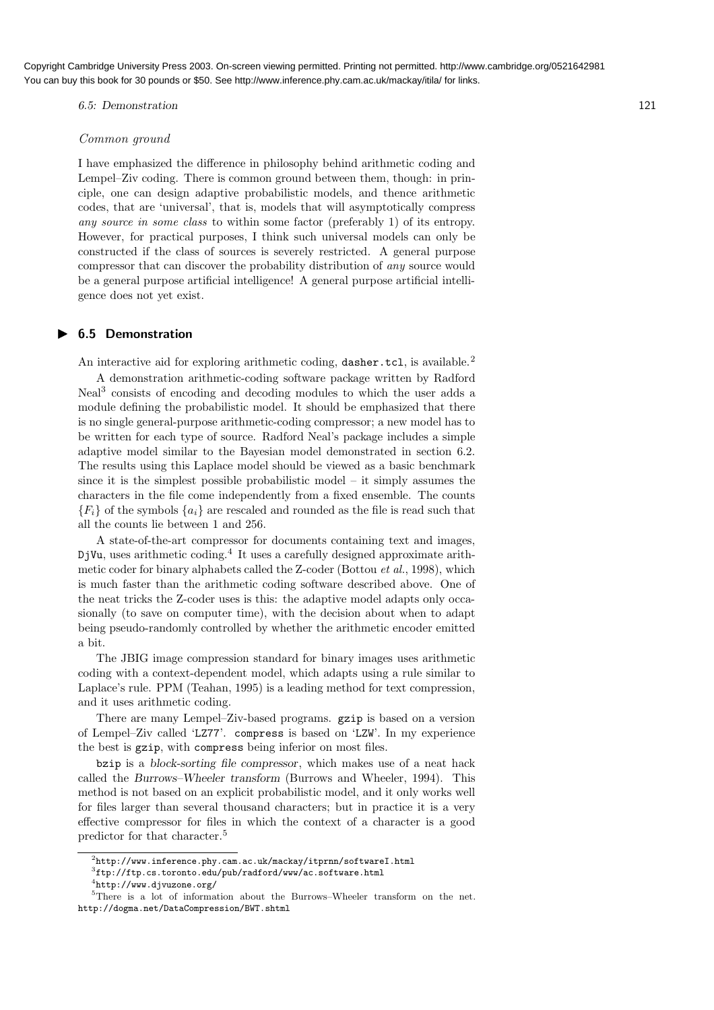6.5: Demonstration 121

#### Common ground

I have emphasized the difference in philosophy behind arithmetic coding and Lempel–Ziv coding. There is common ground between them, though: in principle, one can design adaptive probabilistic models, and thence arithmetic codes, that are 'universal', that is, models that will asymptotically compress any source in some class to within some factor (preferably 1) of its entropy. However, for practical purposes, I think such universal models can only be constructed if the class of sources is severely restricted. A general purpose compressor that can discover the probability distribution of any source would be a general purpose artificial intelligence! A general purpose artificial intelligence does not yet exist.

#### ▶ 6.5 Demonstration

An interactive aid for exploring arithmetic coding, dasher.tcl, is available.<sup>2</sup>

A demonstration arithmetic-coding software package written by Radford Neal<sup>3</sup> consists of encoding and decoding modules to which the user adds a module defining the probabilistic model. It should be emphasized that there is no single general-purpose arithmetic-coding compressor; a new model has to be written for each type of source. Radford Neal's package includes a simple adaptive model similar to the Bayesian model demonstrated in section 6.2. The results using this Laplace model should be viewed as a basic benchmark since it is the simplest possible probabilistic model  $-$  it simply assumes the characters in the file come independently from a fixed ensemble. The counts  ${F_i}$  of the symbols  ${a_i}$  are rescaled and rounded as the file is read such that all the counts lie between 1 and 256.

A state-of-the-art compressor for documents containing text and images, DjVu, uses arithmetic coding.<sup>4</sup> It uses a carefully designed approximate arithmetic coder for binary alphabets called the Z-coder (Bottou et al., 1998), which is much faster than the arithmetic coding software described above. One of the neat tricks the Z-coder uses is this: the adaptive model adapts only occasionally (to save on computer time), with the decision about when to adapt being pseudo-randomly controlled by whether the arithmetic encoder emitted a bit.

The JBIG image compression standard for binary images uses arithmetic coding with a context-dependent model, which adapts using a rule similar to Laplace's rule. PPM (Teahan, 1995) is a leading method for text compression, and it uses arithmetic coding.

There are many Lempel–Ziv-based programs. gzip is based on a version of Lempel–Ziv called 'LZ77'. compress is based on 'LZW'. In my experience the best is gzip, with compress being inferior on most files.

bzip is a block-sorting file compressor, which makes use of a neat hack called the Burrows–Wheeler transform (Burrows and Wheeler, 1994). This method is not based on an explicit probabilistic model, and it only works well for files larger than several thousand characters; but in practice it is a very effective compressor for files in which the context of a character is a good predictor for that character.<sup>5</sup>

 $^{2}$ http://www.inference.phy.cam.ac.uk/mackay/itprnn/softwareI.html

<sup>3</sup> ftp://ftp.cs.toronto.edu/pub/radford/www/ac.software.html

<sup>4</sup> http://www.djvuzone.org/

<sup>5</sup>There is a lot of information about the Burrows–Wheeler transform on the net. http://dogma.net/DataCompression/BWT.shtml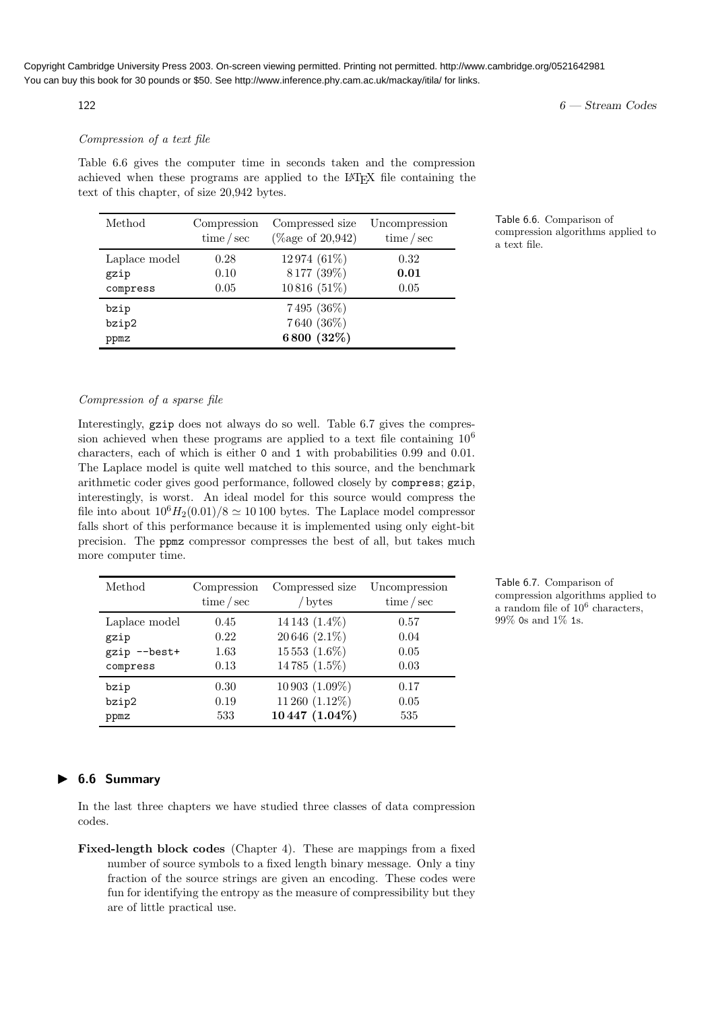### Compression of a text file

Table 6.6 gives the computer time in seconds taken and the compression achieved when these programs are applied to the LAT<sub>EX</sub> file containing the text of this chapter, of size 20,942 bytes.

| Method        | Compression<br>time/sec | Compressed size<br>(% age of $20,942$ ) | Uncompression<br>time/sec |
|---------------|-------------------------|-----------------------------------------|---------------------------|
| Laplace model | 0.28                    | 12974 (61%)                             | 0.32                      |
| gzip          | 0.10                    | 8177 (39%)                              | 0.01                      |
| compress      | 0.05                    | 10816 (51%)                             | 0.05                      |
| bzip          |                         | 7495 (36%)                              |                           |
| bzip2         |                         | 7640 (36%)                              |                           |
| ppmz          |                         | 6800 (32%)                              |                           |

Table 6.6. Comparison of compression algorithms applied to a text file.

#### Compression of a sparse file

Interestingly, gzip does not always do so well. Table 6.7 gives the compression achieved when these programs are applied to a text file containing  $10^6$ characters, each of which is either 0 and 1 with probabilities 0.99 and 0.01. The Laplace model is quite well matched to this source, and the benchmark arithmetic coder gives good performance, followed closely by compress; gzip, interestingly, is worst. An ideal model for this source would compress the file into about  $10^6H_2(0.01)/8 \simeq 10100$  bytes. The Laplace model compressor falls short of this performance because it is implemented using only eight-bit precision. The ppmz compressor compresses the best of all, but takes much more computer time.

| Method        | Compression<br>time/sec | Compressed size<br>bytes | Uncompression<br>time/sec |
|---------------|-------------------------|--------------------------|---------------------------|
| Laplace model | 0.45                    | 14 14 3 $(1.4\%)$        | 0.57                      |
| gzip          | 0.22                    | 20 646 (2.1%)            | 0.04                      |
| gzip --best+  | 1.63                    | $15553(1.6\%)$           | 0.05                      |
| compress      | 0.13                    | 14785 (1.5%)             | 0.03                      |
| bzip          | 0.30                    | $10\,903(1.09\%)$        | 0.17                      |
| bzip2         | 0.19                    | 11 260 (1.12%)           | 0.05                      |
| ppmz          | 533                     | 10447 (1.04%)            | 535                       |

Table 6.7. Comparison of compression algorithms applied to a random file of  $10^6$  characters, 99% 0s and 1% 1s.

#### ▶ 6.6 Summary

In the last three chapters we have studied three classes of data compression codes.

Fixed-length block codes (Chapter 4). These are mappings from a fixed number of source symbols to a fixed length binary message. Only a tiny fraction of the source strings are given an encoding. These codes were fun for identifying the entropy as the measure of compressibility but they are of little practical use.

 $122$  6 — Stream Codes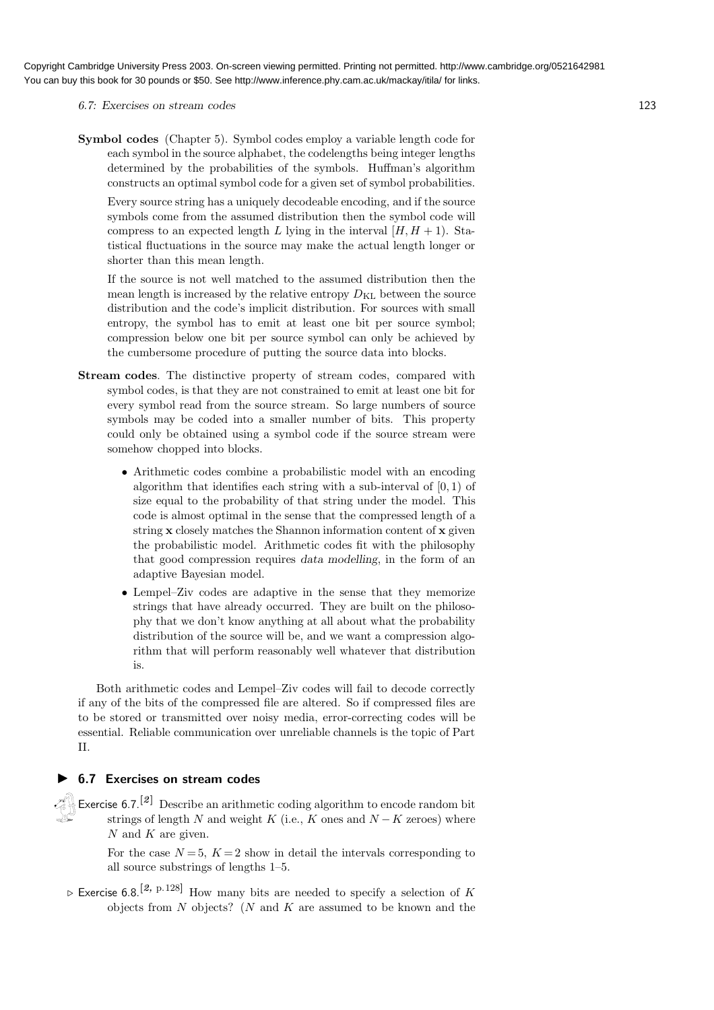#### 6.7: Exercises on stream codes 123

Symbol codes (Chapter 5). Symbol codes employ a variable length code for each symbol in the source alphabet, the codelengths being integer lengths determined by the probabilities of the symbols. Huffman's algorithm constructs an optimal symbol code for a given set of symbol probabilities.

Every source string has a uniquely decodeable encoding, and if the source symbols come from the assumed distribution then the symbol code will compress to an expected length L lying in the interval  $[H, H + 1]$ . Statistical fluctuations in the source may make the actual length longer or shorter than this mean length.

If the source is not well matched to the assumed distribution then the mean length is increased by the relative entropy  $D_{\text{KL}}$  between the source distribution and the code's implicit distribution. For sources with small entropy, the symbol has to emit at least one bit per source symbol; compression below one bit per source symbol can only be achieved by the cumbersome procedure of putting the source data into blocks.

- Stream codes. The distinctive property of stream codes, compared with symbol codes, is that they are not constrained to emit at least one bit for every symbol read from the source stream. So large numbers of source symbols may be coded into a smaller number of bits. This property could only be obtained using a symbol code if the source stream were somehow chopped into blocks.
	- Arithmetic codes combine a probabilistic model with an encoding algorithm that identifies each string with a sub-interval of  $[0, 1)$  of size equal to the probability of that string under the model. This code is almost optimal in the sense that the compressed length of a string x closely matches the Shannon information content of x given the probabilistic model. Arithmetic codes fit with the philosophy that good compression requires data modelling, in the form of an adaptive Bayesian model.
	- Lempel–Ziv codes are adaptive in the sense that they memorize strings that have already occurred. They are built on the philosophy that we don't know anything at all about what the probability distribution of the source will be, and we want a compression algorithm that will perform reasonably well whatever that distribution is.

Both arithmetic codes and Lempel–Ziv codes will fail to decode correctly if any of the bits of the compressed file are altered. So if compressed files are to be stored or transmitted over noisy media, error-correcting codes will be essential. Reliable communication over unreliable channels is the topic of Part II.

#### ▶ 6.7 Exercises on stream codes

Exercise 6.7.<sup>[2]</sup> Describe an arithmetic coding algorithm to encode random bit strings of length  $N$  and weight  $K$  (i.e.,  $K$  ones and  $N - K$  zeroes) where  $N$  and  $K$  are given.

For the case  $N = 5$ ,  $K = 2$  show in detail the intervals corresponding to all source substrings of lengths 1–5.

 $\triangleright$  Exercise 6.8.<sup>[2, p.128]</sup> How many bits are needed to specify a selection of K objects from  $N$  objects? ( $N$  and  $K$  are assumed to be known and the